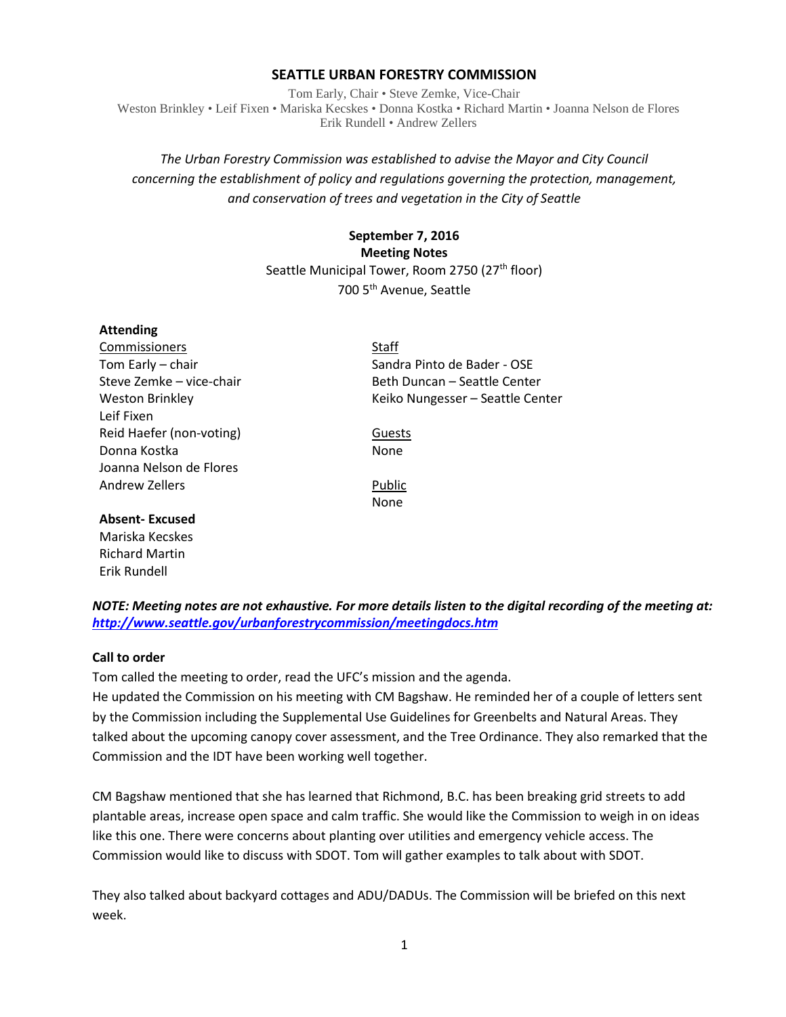# **SEATTLE URBAN FORESTRY COMMISSION**

Tom Early, Chair • Steve Zemke, Vice-Chair Weston Brinkley • Leif Fixen • Mariska Kecskes • Donna Kostka • Richard Martin • Joanna Nelson de Flores Erik Rundell • Andrew Zellers

# *The Urban Forestry Commission was established to advise the Mayor and City Council concerning the establishment of policy and regulations governing the protection, management, and conservation of trees and vegetation in the City of Seattle*

# **September 7, 2016 Meeting Notes** Seattle Municipal Tower, Room 2750 (27<sup>th</sup> floor) 700 5th Avenue, Seattle

### **Attending**

Commissioners Staff Leif Fixen Reid Haefer (non-voting) Guests Donna Kostka None Joanna Nelson de Flores Andrew Zellers **Public** 

**Absent- Excused**

Mariska Kecskes Richard Martin Erik Rundell

Tom Early – chair Sandra Pinto de Bader - OSE Steve Zemke – vice-chair and Beth Duncan – Seattle Center Weston Brinkley **Keiko Nungesser** – Seattle Center

None

*NOTE: Meeting notes are not exhaustive. For more details listen to the digital recording of the meeting at: <http://www.seattle.gov/urbanforestrycommission/meetingdocs.htm>*

### **Call to order**

Tom called the meeting to order, read the UFC's mission and the agenda.

He updated the Commission on his meeting with CM Bagshaw. He reminded her of a couple of letters sent by the Commission including the Supplemental Use Guidelines for Greenbelts and Natural Areas. They talked about the upcoming canopy cover assessment, and the Tree Ordinance. They also remarked that the Commission and the IDT have been working well together.

CM Bagshaw mentioned that she has learned that Richmond, B.C. has been breaking grid streets to add plantable areas, increase open space and calm traffic. She would like the Commission to weigh in on ideas like this one. There were concerns about planting over utilities and emergency vehicle access. The Commission would like to discuss with SDOT. Tom will gather examples to talk about with SDOT.

They also talked about backyard cottages and ADU/DADUs. The Commission will be briefed on this next week.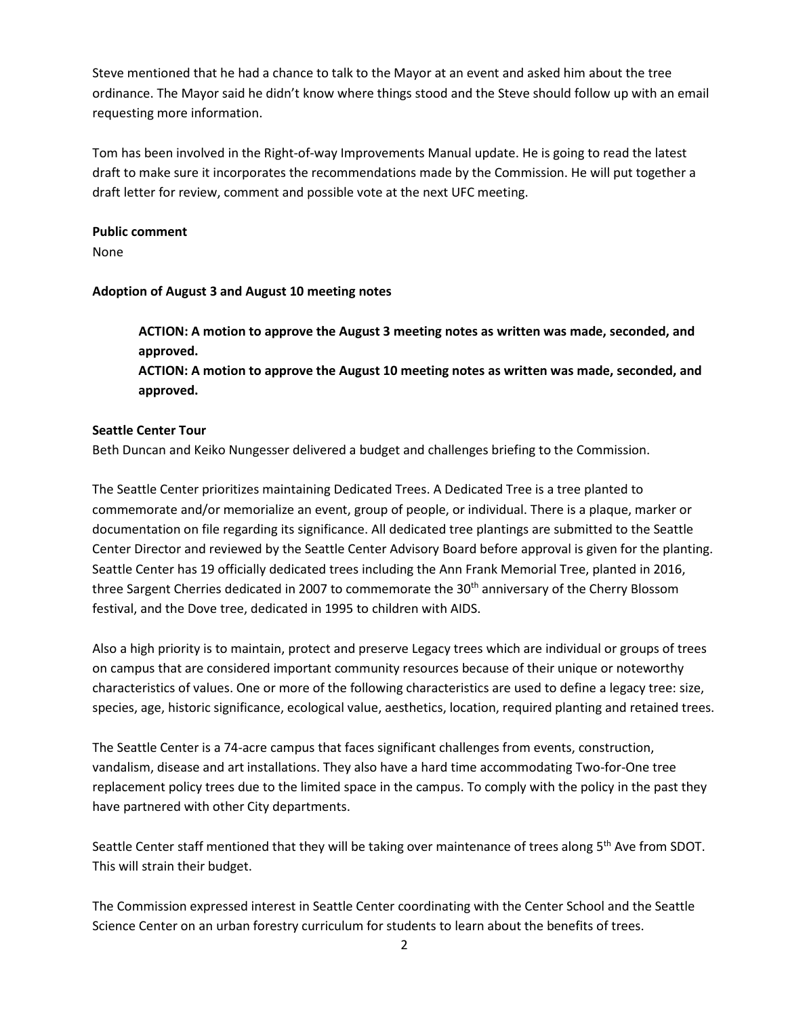Steve mentioned that he had a chance to talk to the Mayor at an event and asked him about the tree ordinance. The Mayor said he didn't know where things stood and the Steve should follow up with an email requesting more information.

Tom has been involved in the Right-of-way Improvements Manual update. He is going to read the latest draft to make sure it incorporates the recommendations made by the Commission. He will put together a draft letter for review, comment and possible vote at the next UFC meeting.

# **Public comment**

None

# **Adoption of August 3 and August 10 meeting notes**

**ACTION: A motion to approve the August 3 meeting notes as written was made, seconded, and approved.**

**ACTION: A motion to approve the August 10 meeting notes as written was made, seconded, and approved.**

# **Seattle Center Tour**

Beth Duncan and Keiko Nungesser delivered a budget and challenges briefing to the Commission.

The Seattle Center prioritizes maintaining Dedicated Trees. A Dedicated Tree is a tree planted to commemorate and/or memorialize an event, group of people, or individual. There is a plaque, marker or documentation on file regarding its significance. All dedicated tree plantings are submitted to the Seattle Center Director and reviewed by the Seattle Center Advisory Board before approval is given for the planting. Seattle Center has 19 officially dedicated trees including the Ann Frank Memorial Tree, planted in 2016, three Sargent Cherries dedicated in 2007 to commemorate the 30<sup>th</sup> anniversary of the Cherry Blossom festival, and the Dove tree, dedicated in 1995 to children with AIDS.

Also a high priority is to maintain, protect and preserve Legacy trees which are individual or groups of trees on campus that are considered important community resources because of their unique or noteworthy characteristics of values. One or more of the following characteristics are used to define a legacy tree: size, species, age, historic significance, ecological value, aesthetics, location, required planting and retained trees.

The Seattle Center is a 74-acre campus that faces significant challenges from events, construction, vandalism, disease and art installations. They also have a hard time accommodating Two-for-One tree replacement policy trees due to the limited space in the campus. To comply with the policy in the past they have partnered with other City departments.

Seattle Center staff mentioned that they will be taking over maintenance of trees along 5<sup>th</sup> Ave from SDOT. This will strain their budget.

The Commission expressed interest in Seattle Center coordinating with the Center School and the Seattle Science Center on an urban forestry curriculum for students to learn about the benefits of trees.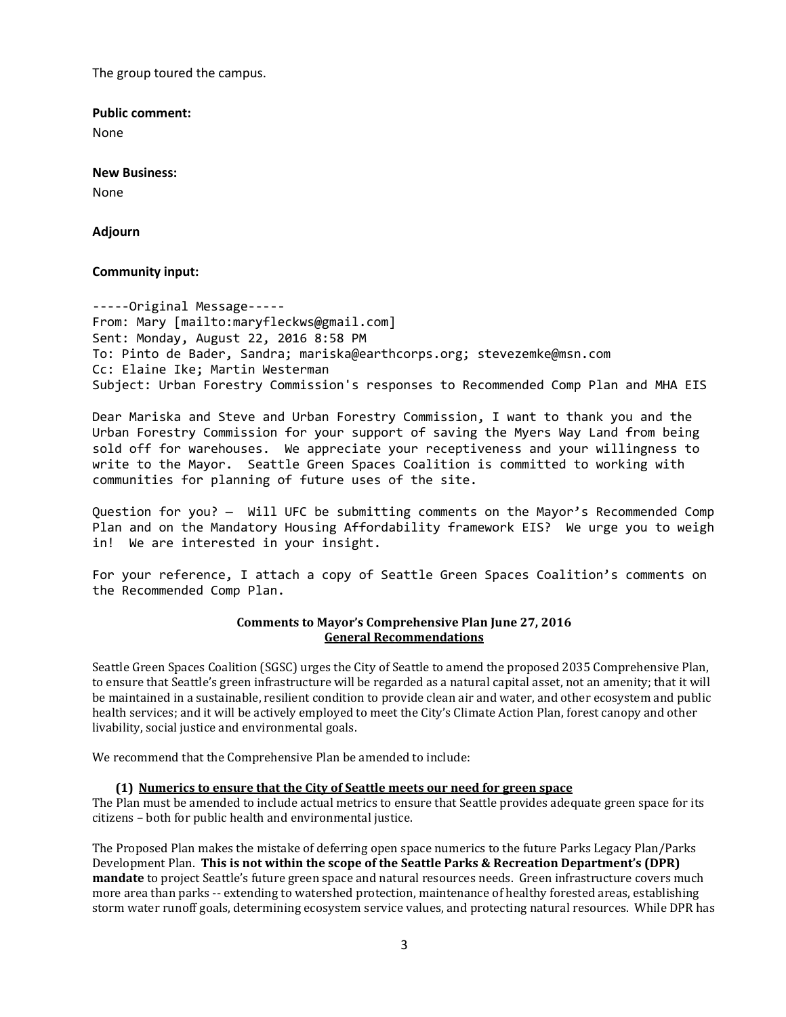The group toured the campus.

**Public comment:**

None

#### **New Business:**

None

### **Adjourn**

### **Community input:**

-----Original Message----- From: Mary [mailto:maryfleckws@gmail.com] Sent: Monday, August 22, 2016 8:58 PM To: Pinto de Bader, Sandra; mariska@earthcorps.org; stevezemke@msn.com Cc: Elaine Ike; Martin Westerman Subject: Urban Forestry Commission's responses to Recommended Comp Plan and MHA EIS

Dear Mariska and Steve and Urban Forestry Commission, I want to thank you and the Urban Forestry Commission for your support of saving the Myers Way Land from being sold off for warehouses. We appreciate your receptiveness and your willingness to write to the Mayor. Seattle Green Spaces Coalition is committed to working with communities for planning of future uses of the site.

Question for you? — Will UFC be submitting comments on the Mayor's Recommended Comp Plan and on the Mandatory Housing Affordability framework EIS? We urge you to weigh in! We are interested in your insight.

For your reference, I attach a copy of Seattle Green Spaces Coalition's comments on the Recommended Comp Plan.

#### **Comments to Mayor's Comprehensive Plan June 27, 2016 General Recommendations**

Seattle Green Spaces Coalition (SGSC) urges the City of Seattle to amend the proposed 2035 Comprehensive Plan, to ensure that Seattle's green infrastructure will be regarded as a natural capital asset, not an amenity; that it will be maintained in a sustainable, resilient condition to provide clean air and water, and other ecosystem and public health services; and it will be actively employed to meet the City's Climate Action Plan, forest canopy and other livability, social justice and environmental goals.

We recommend that the Comprehensive Plan be amended to include:

### **(1) Numerics to ensure that the City of Seattle meets our need for green space**

The Plan must be amended to include actual metrics to ensure that Seattle provides adequate green space for its citizens – both for public health and environmental justice.

The Proposed Plan makes the mistake of deferring open space numerics to the future Parks Legacy Plan/Parks Development Plan. **This is not within the scope of the Seattle Parks & Recreation Department's (DPR) mandate** to project Seattle's future green space and natural resources needs. Green infrastructure covers much more area than parks -- extending to watershed protection, maintenance of healthy forested areas, establishing storm water runoff goals, determining ecosystem service values, and protecting natural resources. While DPR has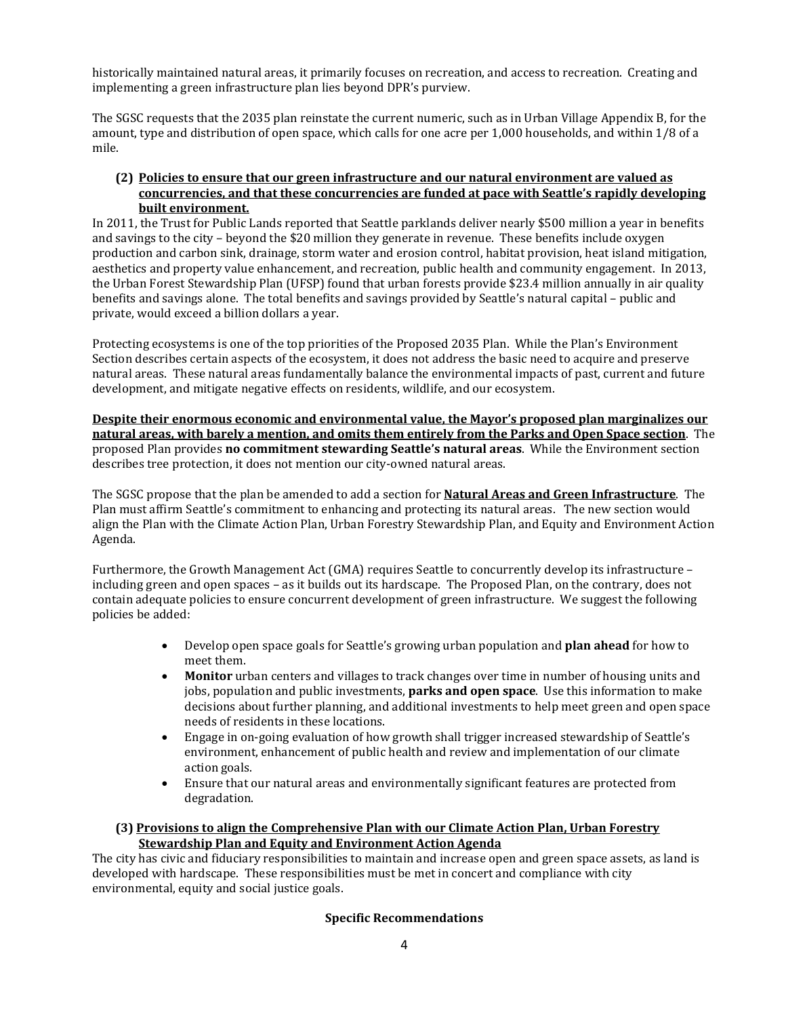historically maintained natural areas, it primarily focuses on recreation, and access to recreation. Creating and implementing a green infrastructure plan lies beyond DPR's purview.

The SGSC requests that the 2035 plan reinstate the current numeric, such as in Urban Village Appendix B, for the amount, type and distribution of open space, which calls for one acre per 1,000 households, and within 1/8 of a mile.

### **(2) Policies to ensure that our green infrastructure and our natural environment are valued as concurrencies, and that these concurrencies are funded at pace with Seattle's rapidly developing built environment.**

In 2011, the Trust for Public Lands reported that Seattle parklands deliver nearly \$500 million a year in benefits and savings to the city – beyond the \$20 million they generate in revenue. These benefits include oxygen production and carbon sink, drainage, storm water and erosion control, habitat provision, heat island mitigation, aesthetics and property value enhancement, and recreation, public health and community engagement. In 2013, the Urban Forest Stewardship Plan (UFSP) found that urban forests provide \$23.4 million annually in air quality benefits and savings alone. The total benefits and savings provided by Seattle's natural capital – public and private, would exceed a billion dollars a year.

Protecting ecosystems is one of the top priorities of the Proposed 2035 Plan. While the Plan's Environment Section describes certain aspects of the ecosystem, it does not address the basic need to acquire and preserve natural areas. These natural areas fundamentally balance the environmental impacts of past, current and future development, and mitigate negative effects on residents, wildlife, and our ecosystem.

**Despite their enormous economic and environmental value, the Mayor's proposed plan marginalizes our natural areas, with barely a mention, and omits them entirely from the Parks and Open Space section**. The proposed Plan provides **no commitment stewarding Seattle's natural areas**. While the Environment section describes tree protection, it does not mention our city-owned natural areas.

The SGSC propose that the plan be amended to add a section for **Natural Areas and Green Infrastructure**. The Plan must affirm Seattle's commitment to enhancing and protecting its natural areas. The new section would align the Plan with the Climate Action Plan, Urban Forestry Stewardship Plan, and Equity and Environment Action Agenda.

Furthermore, the Growth Management Act (GMA) requires Seattle to concurrently develop its infrastructure – including green and open spaces – as it builds out its hardscape. The Proposed Plan, on the contrary, does not contain adequate policies to ensure concurrent development of green infrastructure. We suggest the following policies be added:

- Develop open space goals for Seattle's growing urban population and **plan ahead** for how to meet them.
- **Monitor** urban centers and villages to track changes over time in number of housing units and jobs, population and public investments, **parks and open space**. Use this information to make decisions about further planning, and additional investments to help meet green and open space needs of residents in these locations.
- Engage in on-going evaluation of how growth shall trigger increased stewardship of Seattle's environment, enhancement of public health and review and implementation of our climate action goals.
- Ensure that our natural areas and environmentally significant features are protected from degradation.

# **(3) Provisions to align the Comprehensive Plan with our Climate Action Plan, Urban Forestry Stewardship Plan and Equity and Environment Action Agenda**

The city has civic and fiduciary responsibilities to maintain and increase open and green space assets, as land is developed with hardscape. These responsibilities must be met in concert and compliance with city environmental, equity and social justice goals.

# **Specific Recommendations**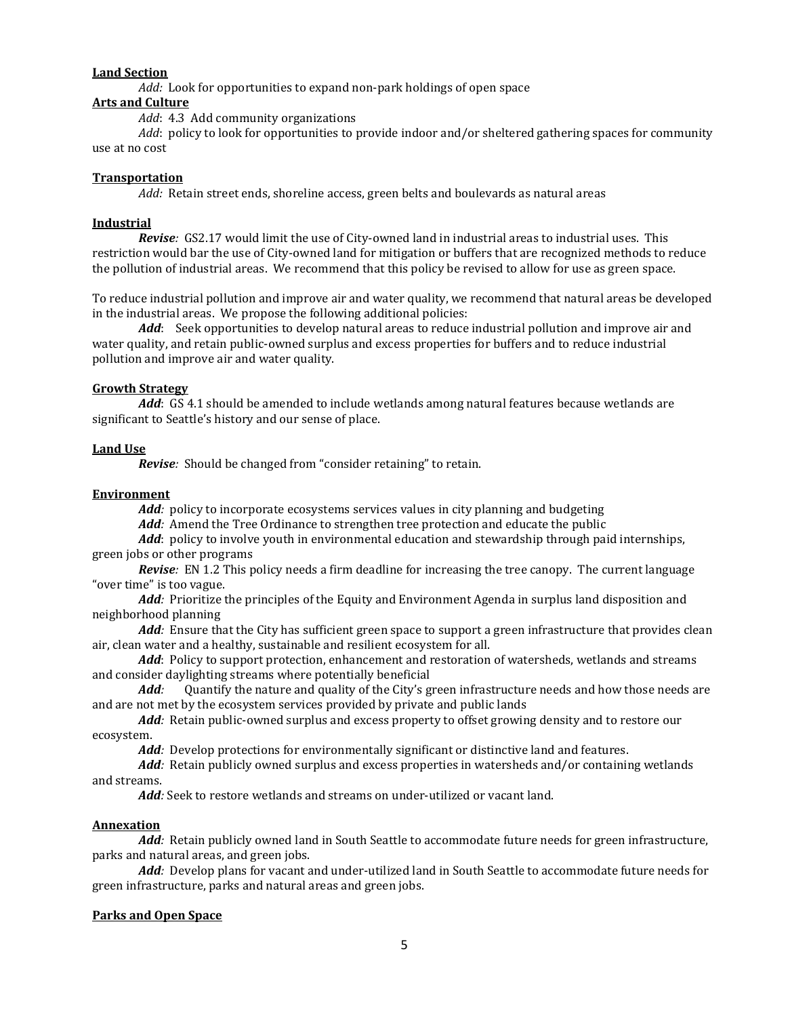# **Land Section**

*Add:* Look for opportunities to expand non-park holdings of open space

### **Arts and Culture**

*Add*: 4.3 Add community organizations

*Add*: policy to look for opportunities to provide indoor and/or sheltered gathering spaces for community use at no cost

#### **Transportation**

*Add:* Retain street ends, shoreline access, green belts and boulevards as natural areas

### **Industrial**

*Revise:* GS2.17 would limit the use of City-owned land in industrial areas to industrial uses. This restriction would bar the use of City-owned land for mitigation or buffers that are recognized methods to reduce the pollution of industrial areas. We recommend that this policy be revised to allow for use as green space.

To reduce industrial pollution and improve air and water quality, we recommend that natural areas be developed in the industrial areas. We propose the following additional policies:

*Add*: Seek opportunities to develop natural areas to reduce industrial pollution and improve air and water quality, and retain public-owned surplus and excess properties for buffers and to reduce industrial pollution and improve air and water quality.

### **Growth Strategy**

*Add*: GS 4.1 should be amended to include wetlands among natural features because wetlands are significant to Seattle's history and our sense of place.

#### **Land Use**

*Revise:* Should be changed from "consider retaining" to retain.

### **Environment**

*Add:* policy to incorporate ecosystems services values in city planning and budgeting

*Add:* Amend the Tree Ordinance to strengthen tree protection and educate the public

*Add*: policy to involve youth in environmental education and stewardship through paid internships, green jobs or other programs

*Revise:* EN 1.2 This policy needs a firm deadline for increasing the tree canopy. The current language "over time" is too vague.

*Add:* Prioritize the principles of the Equity and Environment Agenda in surplus land disposition and neighborhood planning

*Add:* Ensure that the City has sufficient green space to support a green infrastructure that provides clean air, clean water and a healthy, sustainable and resilient ecosystem for all.

*Add*: Policy to support protection, enhancement and restoration of watersheds, wetlands and streams and consider daylighting streams where potentially beneficial<br>**Add:** Ouantify the nature and quality of the City's g

*Add:* Quantify the nature and quality of the City's green infrastructure needs and how those needs are and are not met by the ecosystem services provided by private and public lands

*Add:* Retain public-owned surplus and excess property to offset growing density and to restore our ecosystem.

*Add:* Develop protections for environmentally significant or distinctive land and features.

*Add:* Retain publicly owned surplus and excess properties in watersheds and/or containing wetlands and streams.

*Add:* Seek to restore wetlands and streams on under-utilized or vacant land.

### **Annexation**

*Add:* Retain publicly owned land in South Seattle to accommodate future needs for green infrastructure, parks and natural areas, and green jobs.

*Add:* Develop plans for vacant and under-utilized land in South Seattle to accommodate future needs for green infrastructure, parks and natural areas and green jobs.

### **Parks and Open Space**